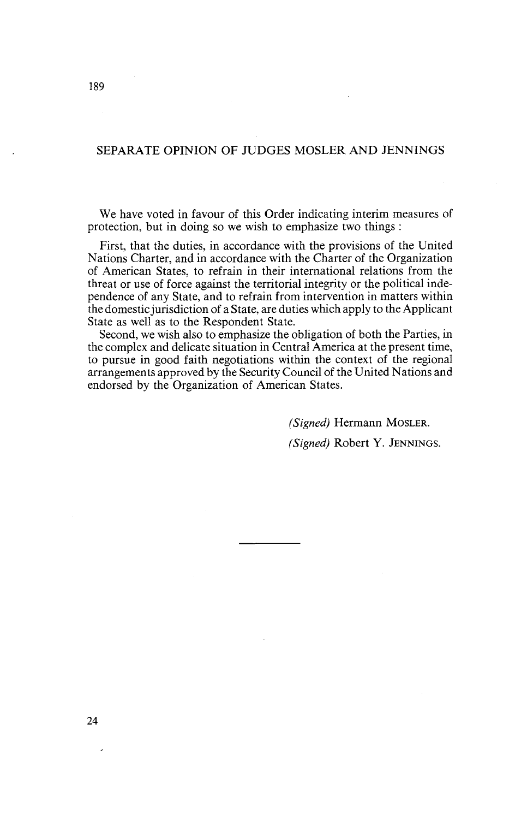## SEPARATE OPINION OF JUDGES MOSLER AND JENNINGS

We have voted in favour of this Order indicating interim measures of protection, but in doing so we wish to emphasize two things :

First, that the duties, in accordance with the provisions of the United Nations Charter, and in accordance with the Charter of the Organization of American States, to refrain in their international relations from the threat or use of force against the territorial integrity or the political independence of any State, and to refrain from intervention in matters within the domesticjurisdiction of a State, are duties which apply to the Applicant State as well as to the Respondent State.

Second, we wish also to emphasize the obligation of both the Parties, in the complex and delicate situation in Central America at the present time, to pursue in good faith negotiations within the context of the regional arrangements approved by the Security Council of the United Nations and endorsed by the Organization of American States.

> *(Signed)* Hermann MOSLER. *(Signed)* Robert Y. JENNINGS.